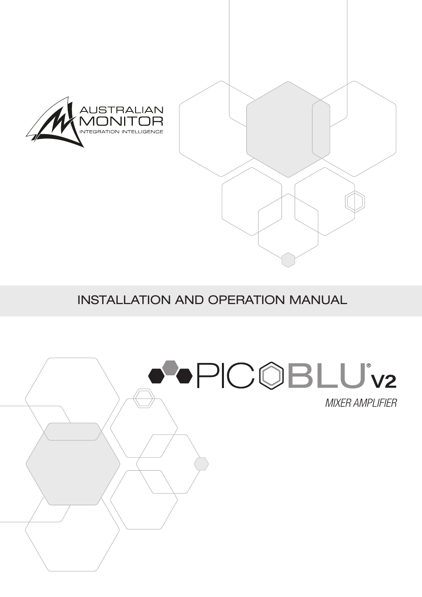

### INSTALLATION AND OPERATION MANUAL

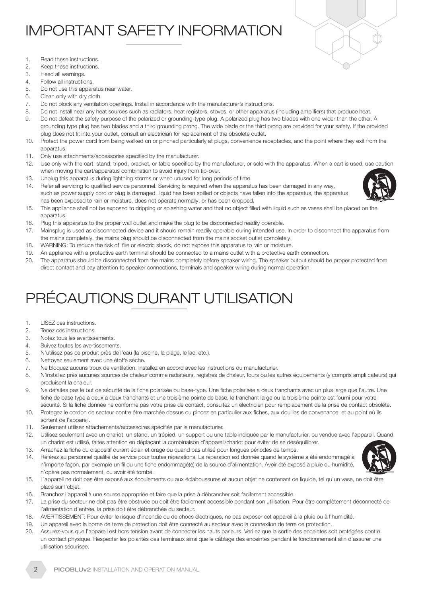### IMPORTANT SAFETY INFORMATION



- 1. Read these instructions.
- 2. Keep these instructions.
- 3. Heed all warnings.
- 4. Follow all instructions.
- 5. Do not use this apparatus near water.
- 6. Clean only with dry cloth.
- 7. Do not block any ventilation openings. Install in accordance with the manufacturer's instructions.
- 8. Do not install near any heat sources such as radiators, heat registers, stoves, or other apparatus (including amplifiers) that produce heat.
- 9. Do not defeat the safety purpose of the polarized or grounding-type plug. A polarized plug has two blades with one wider than the other. A grounding type plug has two blades and a third grounding prong. The wide blade or the third prong are provided for your safety. If the provided plug does not fit into your outlet, consult an electrician for replacement of the obsolete outlet.
- 10. Protect the power cord from being walked on or pinched particularly at plugs, convenience receptacles, and the point where they exit from the apparatus.
- 11. Only use attachments/accessories specified by the manufacturer.
- 12. Use only with the cart, stand, tripod, bracket, or table specified by the manufacturer, or sold with the apparatus. When a cart is used, use caution when moving the cart/apparatus combination to avoid injury from tip-over.
- 13. Unplug this apparatus during lightning storms or when unused for long periods of time.
- 14. Refer all servicing to qualified service personnel. Servicing is required when the apparatus has been damaged in any way, such as power supply cord or plug is damaged, liquid has been spilled or objects have fallen into the apparatus, the apparatus has been exposed to rain or moisture, does not operate normally, or has been dropped.
- 15. This appliance shall not be exposed to dripping or splashing water and that no object filled with liquid such as vases shall be placed on the apparatus.
- 16. Plug this apparatus to the proper wall outlet and make the plug to be disconnected readily operable.
- 17. Mainsplug is used as disconnected device and it should remain readily operable during intended use. In order to disconnect the apparatus from the mains completely, the mains plug should be disconnected from the mains socket outlet completely.
- 18. WARNING: To reduce the risk of fire or electric shock, do not expose this apparatus to rain or moisture.
- 19. An appliance with a protective earth terminal should be connected to a mains outlet with a protective earth connection.
- 20. The apparatus should be disconnected from the mains completely before speaker wiring. The speaker output should be proper protected from direct contact and pay attention to speaker connections, terminals and speaker wiring during normal operation.

## PRÉCAUTIONS DURANT UTILISATION

- 1. LISEZ ces instructions.
- 2. Tenez ces instructions.
- 3. Notez tous les avertissements.
- 4. Suivez toutes les avertissements.
- 5. N'utilisez pas ce produit près de l'eau (la piscine, la plage, le lac, etc.).
- 6. Nettoyez seulement avec une étoffe sèche.
- 7. Ne bloquez aucuns troux de ventilation. Installez en accord avec les instructions du manufacturier.
- 8. N'installez près aucunes sources de chaleur comme radiateurs, registres de chaleur, fours ou les autres équipements (y compris ampli cateurs) qui produisent la chaleur.
- 9. Ne défaites pas le but de sécurité de la fiche polarisée ou base-type. Une fiche polarisée a deux tranchants avec un plus large que l'autre. Une fiche de base type a deux a deux tranchants et une troisième pointe de base, le tranchant large ou la troisième pointe est fourni pour votre sécurité. Si la fiche donnée ne conforme pas votre prise de contact, consultez un électricien pour remplacement de la prise de contact obsolète.
- 10. Protegez le cordon de secteur contre être marchée dessus ou pincez en particulier aux fiches, aux douilles de convenance, et au point où ils sortent de l'appareil.
- 11. Seulement utilisez attachements/accessoires spécifiés par le manufacturier.
- 12. Utilisez seulement avec un chariot, un stand, un trépied, un support ou une table indiquée par le manufacturier, ou vendue avec l'appareil. Quand un chariot est utilisé, faites attention en déplaçant la combinaison d'appareil/chariot pour éviter de se déséquilibrer.
- 13. Arrachez la fiche du dispositif durant éclair et orage ou quand pas utilisé pour longues périodes de temps.
- 14. Référez au personnel qualifié de service pour toutes réparations. La réparation est donnée quand le système a été endommagé à n'importe façon, par exemple un fil ou une fiche endommagé(e) de la source d'alimentation. Avoir été exposé à pluie ou humidité, n'opère pas normalement, ou avoir été tombé.



- 15. L'appareil ne doit pas être exposé aux écoulements ou aux éclaboussures et aucun objet ne contenant de liquide, tel qu'un vase, ne doit être placé sur l'objet.
- 16. Branchez l'appareil à une source appropriée et faire que la prise à débrancher soit facilement accessible.
- 17. La prise du secteur ne doit pas être obstruée ou doit être facilement accessible pendant son utilisation. Pour être complètement déconnecté de l'alimentation d'entrée, la prise doit être débranchée du secteur.
- 18. AVERTISSEMENT: Pour éviter le risque d'incendie ou de chocs électriques, ne pas exposer cet appareil à la pluie ou à l'humidité.
- 19. Un appareil avec la borne de terre de protection doit être connecté au secteur avec la connexiion de terre de protection.
- 20. Assurez-vous que l'appareil est hors tension avant de connecter les hauts parleurs. Veri ez que la sortie des enceintes soit protégées contre un contact physique. Respecter les polarités des terminaux ainsi que le câblage des enceintes pendant le fonctionnement afin d'assurer une utilisation sécurisee.

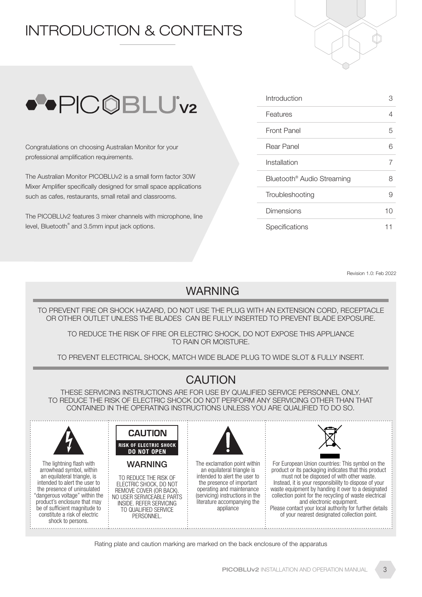### INTRODUCTION & CONTENTS





Congratulations on choosing Australian Monitor for your professional amplification requirements.

The Australian Monitor PICOBLUv2 is a small form factor 30W Mixer Amplifier specifically designed for small space applications such as cafes, restaurants, small retail and classrooms.

The PICOBLUv2 features 3 mixer channels with microphone, line level, Bluetooth® and 3.5mm input jack options.

| Introduction                           | :3 |
|----------------------------------------|----|
| Features                               | 4  |
| Front Panel                            | 5  |
| Rear Panel                             | 6  |
| Installation                           | 7  |
| Bluetooth <sup>®</sup> Audio Streaming | 8  |
| Troubleshooting                        | 9  |
| Dimensions                             | 10 |
| Specifications                         |    |

Revision 1.0: Feb 2022

### WARNING

TO PREVENT FIRE OR SHOCK HAZARD, DO NOT USE THE PLUG WITH AN EXTENSION CORD, RECEPTACLE OR OTHER OUTLET UNLESS THE BLADES CAN BE FULLY INSERTED TO PREVENT BLADE EXPOSURE.

TO REDUCE THE RISK OF FIRE OR ELECTRIC SHOCK, DO NOT EXPOSE THIS APPLIANCE TO RAIN OR MOISTURE.

TO PREVENT ELECTRICAL SHOCK, MATCH WIDE BLADE PLUG TO WIDE SLOT & FULLY INSERT.

### **CAUTION**

THESE SERVICING INSTRUCTIONS ARE FOR USE BY QUALIFIED SERVICE PERSONNEL ONLY. TO REDUCE THE RISK OF ELECTRIC SHOCK DO NOT PERFORM ANY SERVICING OTHER THAN THAT CONTAINED IN THE OPERATING INSTRUCTIONS UNLESS YOU ARE QUALIFIED TO DO SO.



Rating plate and caution marking are marked on the back enclosure of the apparatus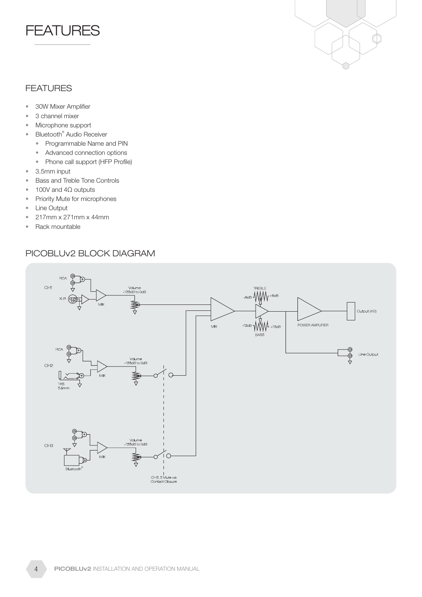



#### FEATURES

- 30W Mixer Amplifier
- 3 channel mixer
- Microphone support
- Bluetooth<sup>®</sup> Audio Receiver
	- Programmable Name and PIN
	- Advanced connection options
	- Phone call support (HFP Profile)
- 3.5mm input
- Bass and Treble Tone Controls
- 100V and 4Ω outputs
- Priority Mute for microphones
- Line Output
- 217mm x 271mm x 44mm
- Rack mountable

#### PICOBLUv2 BLOCK DIAGRAM

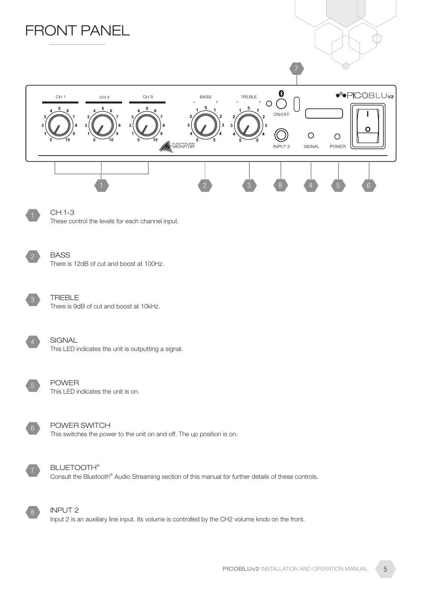

Input 2 is an auxiliary line input. Its volume is controlled by the CH2 volume knob on the front.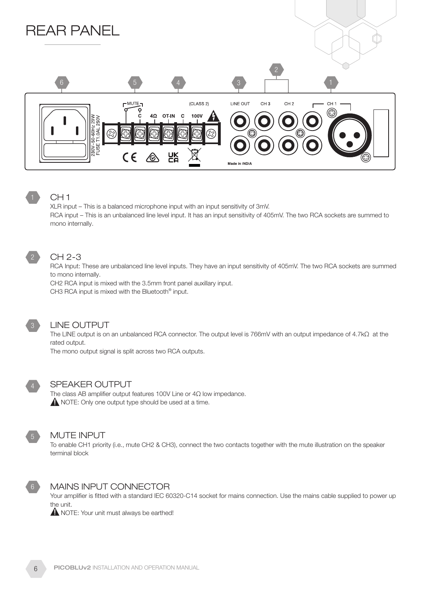

#### CH 1

XLR input – This is a balanced microphone input with an input sensitivity of 3mV. RCA input – This is an unbalanced line level input. It has an input sensitivity of 405mV. The two RCA sockets are summed to mono internally.

### 2

CH 2-3

#### RCA Input: These are unbalanced line level inputs. They have an input sensitivity of 405mV. The two RCA sockets are summed

to mono internally. CH2 RCA input is mixed with the 3.5mm front panel auxillary input.

CH3 RCA input is mixed with the Bluetooth<sup>®</sup> input.



#### LINE OUTPUT

The LINE output is on an unbalanced RCA connector. The output level is 766mV with an output impedance of 4.7kΩ at the rated output.

The mono output signal is split across two RCA outputs.



#### SPEAKER OUTPUT

The class AB amplifier output features 100V Line or 4Ω low impedance. A NOTE: Only one output type should be used at a time.



#### MUTE INPUT

To enable CH1 priority (i.e., mute CH2 & CH3), connect the two contacts together with the mute illustration on the speaker terminal block



Your amplifier is fitted with a standard IEC 60320-C14 socket for mains connection. Use the mains cable supplied to power up the unit.

**A** NOTE: Your unit must always be earthed!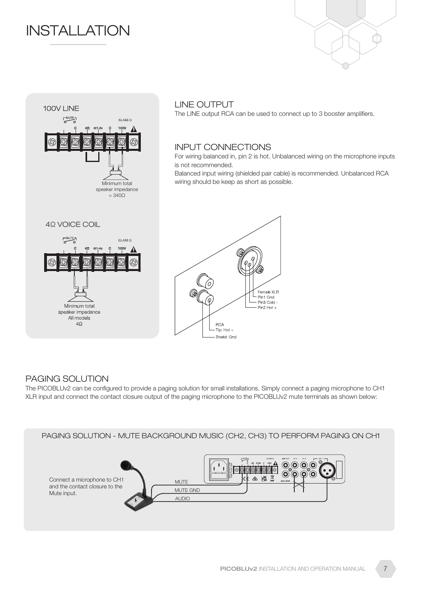### **INSTALLATION**





#### LINE OUTPUT

The LINE output RCA can be used to connect up to 3 booster amplifiers.

#### INPUT CONNECTIONS

For wiring balanced in, pin 2 is hot. Unbalanced wiring on the microphone inputs is not recommended.

Balanced input wiring (shielded pair cable) is recommended. Unbalanced RCA wiring should be keep as short as possible.



#### PAGING SOLUTION

The PICOBLUv2 can be configured to provide a paging solution for small installations. Simply connect a paging microphone to CH1 XLR input and connect the contact closure output of the paging microphone to the PICOBLUv2 mute terminals as shown below:

PAGING SOLUTION - MUTE BACKGROUND MUSIC (CH2, CH3) TO PERFORM PAGING ON CH1

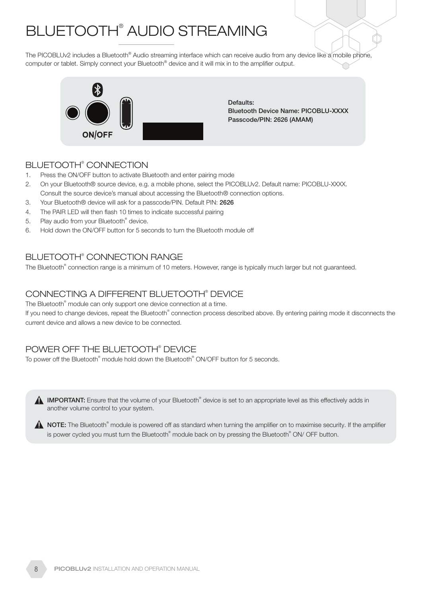## BLUETOOTH® AUDIO STREAMING

The PICOBLUv2 includes a Bluetooth® Audio streaming interface which can receive audio from any device like a mobile phone, computer or tablet. Simply connect your Bluetooth® device and it will mix in to the amplifier output.



Defaults: Bluetooth Device Name: PICOBLU-XXXX Passcode/PIN: 2626 (AMAM)

#### BLUETOOTH® CONNECTION

- 1. Press the ON/OFF button to activate Bluetooth and enter pairing mode
- 2. On your Bluetooth® source device, e.g. a mobile phone, select the PICOBLUv2. Default name: PICOBLU-XXXX. Consult the source device's manual about accessing the Bluetooth® connection options.
- 3. Your Bluetooth® device will ask for a passcode/PIN. Default PIN: 2626
- 4. The PAIR LED will then flash 10 times to indicate successful pairing
- 5. Play audio from your Bluetooth<sup>®</sup> device.
- 6. Hold down the ON/OFF button for 5 seconds to turn the Bluetooth module off

#### BLUETOOTH® CONNECTION RANGE

The Bluetooth® connection range is a minimum of 10 meters. However, range is typically much larger but not guaranteed.

#### CONNECTING A DIFFERENT BLUETOOTH® DEVICE

The Bluetooth<sup>®</sup> module can only support one device connection at a time.

If you need to change devices, repeat the Bluetooth® connection process described above. By entering pairing mode it disconnects the current device and allows a new device to be connected.

#### POWER OFF THE BLUETOOTH® DEVICE

To power off the Bluetooth® module hold down the Bluetooth® ON/OFF button for 5 seconds.

IMPORTANT: Ensure that the volume of your Bluetooth® device is set to an appropriate level as this effectively adds in another volume control to your system.

NOTE: The Bluetooth® module is powered off as standard when turning the amplifier on to maximise security. If the amplifier is power cycled you must turn the Bluetooth® module back on by pressing the Bluetooth® ON/ OFF button.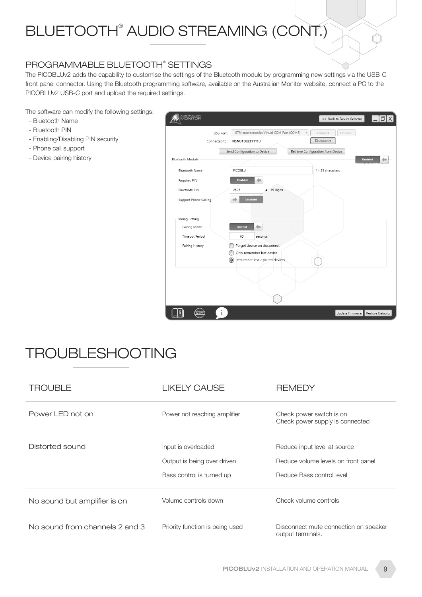# BLUETOOTH® AUDIO STREAMING (CONT.)

#### PROGRAMMABLE BLUETOOTH® SETTINGS

The PICOBLUv2 adds the capability to customise the settings of the Bluetooth module by programming new settings via the USB-C front panel connector. Using the Bluetooth programming software, available on the Australian Monitor website, connect a PC to the PICOBLUv2 USB-C port and upload the required settings.

The software can modify the following settings:

- Bluetooth Name
- Bluetooth PIN
- Enabling/Disabling PIN security
- Phone call support
- Device pairing history

| AUSTRALIAN<br>MONITOR |                                                                  | << Back to Device Selector          |
|-----------------------|------------------------------------------------------------------|-------------------------------------|
| USB Port:             | STMicroelectronics Virtual COM Port (COM6)                       | Connect<br>Discover                 |
|                       | Connected to: NSNU1002311113                                     | <b>Disconnect</b>                   |
|                       | Send Configuration to Device                                     | Retrieve Configuration from Device  |
| Bluetooth Module      |                                                                  | <b>Enabled</b><br>⇔                 |
| Bluetooth Name        | PICOBLU                                                          | 1 - 25 characters                   |
| Requires PIN          | <b>Enabled</b>                                                   |                                     |
| Bluetooth PIN         | $4 - 15$ digits<br>2626                                          |                                     |
| Support Phone Calling | <b>Disabled</b><br>⇒                                             |                                     |
|                       |                                                                  |                                     |
| Pairing Setting       |                                                                  |                                     |
| Pairing Mode          | <b>Timeout</b>                                                   |                                     |
| <b>Timeout Period</b> | 60<br>seconds                                                    |                                     |
| Pairing History       | Forget device on disconnect                                      |                                     |
|                       | Only remember last device<br>Remember last 7 paired devices<br>O |                                     |
|                       |                                                                  |                                     |
|                       |                                                                  |                                     |
|                       |                                                                  |                                     |
|                       |                                                                  |                                     |
| W.WA                  |                                                                  | Restore Defaults<br>Update Firmware |

### TROUBLESHOOTING

| TROUBLE                        | LIKELY CAUSE                                                                    | <b>REMEDY</b>                                                                                    |
|--------------------------------|---------------------------------------------------------------------------------|--------------------------------------------------------------------------------------------------|
| Power LED not on               | Power not reaching amplifier                                                    | Check power switch is on<br>Check power supply is connected                                      |
| Distorted sound                | Input is overloaded<br>Output is being over driven<br>Bass control is turned up | Reduce input level at source<br>Reduce volume levels on front panel<br>Reduce Bass control level |
| No sound but amplifier is on   | Volume controls down                                                            | Check volume controls                                                                            |
| No sound from channels 2 and 3 | Priority function is being used                                                 | Disconnect mute connection on speaker<br>output terminals.                                       |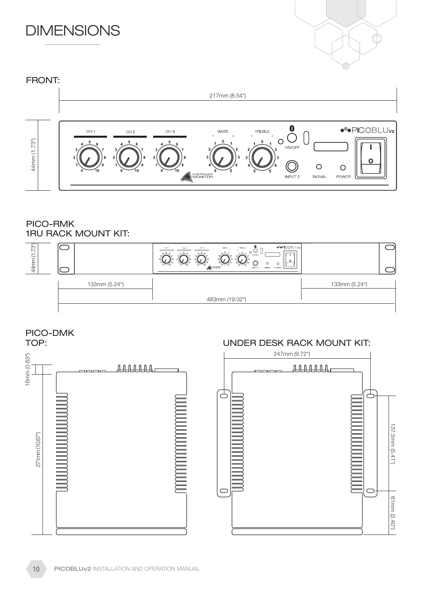### **DIMENSIONS**



#### FRONT: 217mm (8.54")  $\sum_{\text{ON/OFF}}$ ·<sup>•</sup>•PIC©BLU<sub>v2</sub>  $CH 1$  $CH 3$ TREBLE  $CH 2$ **BASS**  $\sqrt{ }$  $\circ$ 44mm (1.73") 44mm (1.73")  $\Omega$  $\circ$  $\circ$ W MONITOR SIGNAL **INPUT 2** POWER

#### 1RU RACK MOUNT KIT: PICO-RMK



PICO-DMK

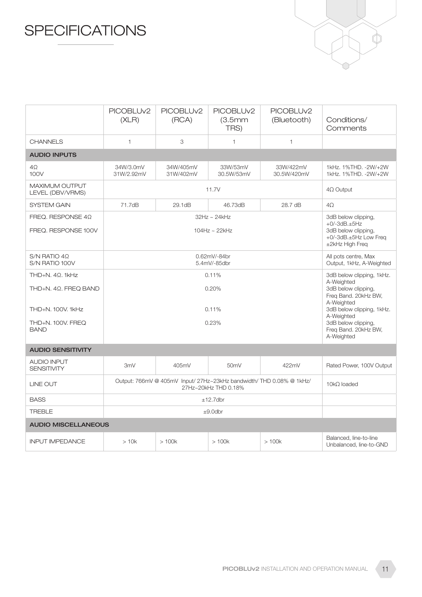### **SPECIFICATIONS**



|                                                                                                  | PICOBLU <sub>v2</sub><br>(XLR)                                                               | PICOBLU <sub>v2</sub><br>(RCA) | PICOBLU <sub>v2</sub><br>(3.5mm)<br>TRS) | PICOBLU <sub>v2</sub><br>(Bluetooth) | Conditions/<br>Comments                                                                                                                                                                                      |
|--------------------------------------------------------------------------------------------------|----------------------------------------------------------------------------------------------|--------------------------------|------------------------------------------|--------------------------------------|--------------------------------------------------------------------------------------------------------------------------------------------------------------------------------------------------------------|
| <b>CHANNELS</b>                                                                                  | $\mathbf{1}$                                                                                 | 3                              | 1                                        | $\mathbf{1}$                         |                                                                                                                                                                                                              |
| <b>AUDIO INPUTS</b>                                                                              |                                                                                              |                                |                                          |                                      |                                                                                                                                                                                                              |
| 4Ω<br>100V                                                                                       | 34W/3.0mV<br>31W/2.92mV                                                                      | 34W/405mV<br>31W/402mV         | 33W/53mV<br>30.5W/53mV                   | 33W/422mV<br>30.5W/420mV             | 1kHz. 1%THD. - 2W/+2W<br>1kHz. 1%THD. -2W/+2W                                                                                                                                                                |
| MAXIMUM OUTPUT<br>LEVEL (DBV/VRMS)                                                               | 11.7V                                                                                        |                                |                                          | $4\Omega$ Output                     |                                                                                                                                                                                                              |
| <b>SYSTEM GAIN</b>                                                                               | 71.7dB                                                                                       | 29.1dB                         | 46.73dB                                  | 28.7 dB                              | $4\Omega$                                                                                                                                                                                                    |
| FREQ. RESPONSE $4\Omega$<br>FREQ. RESPONSE 100V                                                  | $32Hz \sim 24kHz$<br>104Hz ~ 22kHz                                                           |                                |                                          |                                      | 3dB below clipping,<br>$+0/-3dB.+5Hz$<br>3dB below clipping,<br>+0/-3dB.±5Hz Low Freq<br>±2kHz High Freq                                                                                                     |
| $S/N$ RATIO 4 $\Omega$<br>S/N RATIO 100V                                                         | 0.62mV/-84br<br>5.4mV/-85dbr                                                                 |                                |                                          |                                      | All pots centre, Max<br>Output, 1kHz, A-Weighted                                                                                                                                                             |
| THD+N. 4Ω. 1kHz<br>THD+N. 4Ω. FREQ BAND<br>THD+N. 100V. 1kHz<br>THD+N, 100V, FREQ<br><b>BAND</b> | 0.11%<br>0.20%<br>0.11%<br>0.23%                                                             |                                |                                          |                                      | 3dB below clipping, 1kHz.<br>A-Weighted<br>3dB below clipping,<br>Freq Band. 20kHz BW,<br>A-Weighted<br>3dB below clipping, 1kHz.<br>A-Weighted<br>3dB below clipping,<br>Freq Band. 20kHz BW,<br>A-Weighted |
| <b>AUDIO SENSITIVITY</b>                                                                         |                                                                                              |                                |                                          |                                      |                                                                                                                                                                                                              |
| <b>AUDIO INPUT</b><br><b>SENSITIVITY</b>                                                         | 3mV                                                                                          | 405mV                          | 50mV                                     | 422mV                                | Rated Power, 100V Output                                                                                                                                                                                     |
| <b>LINE OUT</b>                                                                                  | Output: 766mV @ 405mV Input/ 27Hz~23kHz bandwidth/ THD 0.08% @ 1kHz/<br>27Hz~20kHz THD 0.18% |                                |                                          |                                      | $10k\Omega$ loaded                                                                                                                                                                                           |
| <b>BASS</b>                                                                                      | $±12.7$ dbr                                                                                  |                                |                                          |                                      |                                                                                                                                                                                                              |
| <b>TREBLE</b>                                                                                    | $±9.0$ dbr                                                                                   |                                |                                          |                                      |                                                                                                                                                                                                              |
| <b>AUDIO MISCELLANEOUS</b>                                                                       |                                                                                              |                                |                                          |                                      |                                                                                                                                                                                                              |
| <b>INPUT IMPEDANCE</b>                                                                           | >10k                                                                                         | >100k                          | >100k                                    | >100k                                | Balanced, line-to-line<br>Unbalanced, line-to-GND                                                                                                                                                            |